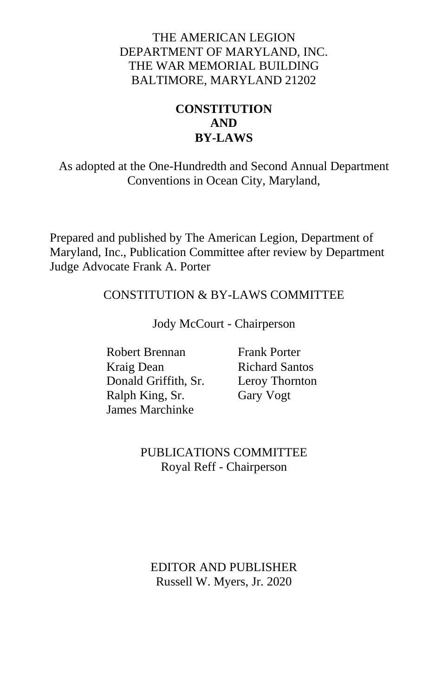### THE AMERICAN LEGION DEPARTMENT OF MARYLAND, INC. THE WAR MEMORIAL BUILDING BALTIMORE, MARYLAND 21202

### **CONSTITUTION AND BY-LAWS**

As adopted at the One-Hundredth and Second Annual Department Conventions in Ocean City, Maryland,

Prepared and published by The American Legion, Department of Maryland, Inc., Publication Committee after review by Department Judge Advocate Frank A. Porter

### CONSTITUTION & BY-LAWS COMMITTEE

Jody McCourt - Chairperson

Robert Brennan Frank Porter Kraig Dean Richard Santos Donald Griffith, Sr. Leroy Thornton<br>
Ralph King, Sr. Gary Vogt Ralph King, Sr. James Marchinke

### PUBLICATIONS COMMITTEE Royal Reff - Chairperson

#### EDITOR AND PUBLISHER Russell W. Myers, Jr. 2020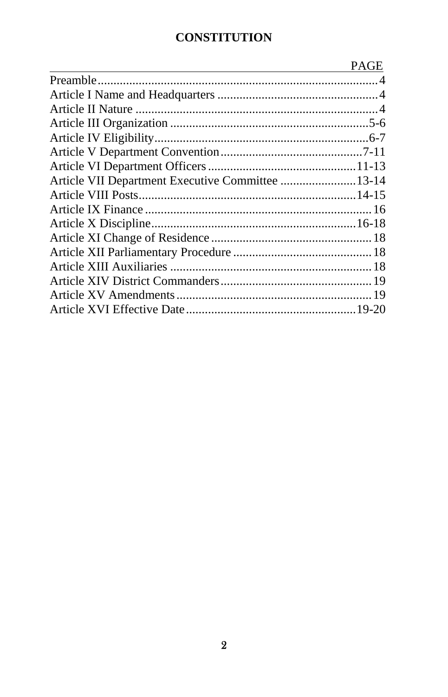# **CONSTITUTION**

|                                                  | <b>PAGE</b> |
|--------------------------------------------------|-------------|
|                                                  |             |
|                                                  |             |
|                                                  |             |
|                                                  |             |
|                                                  |             |
|                                                  |             |
|                                                  |             |
| Article VII Department Executive Committee 13-14 |             |
|                                                  |             |
|                                                  |             |
|                                                  |             |
|                                                  |             |
|                                                  |             |
|                                                  |             |
|                                                  |             |
|                                                  |             |
|                                                  |             |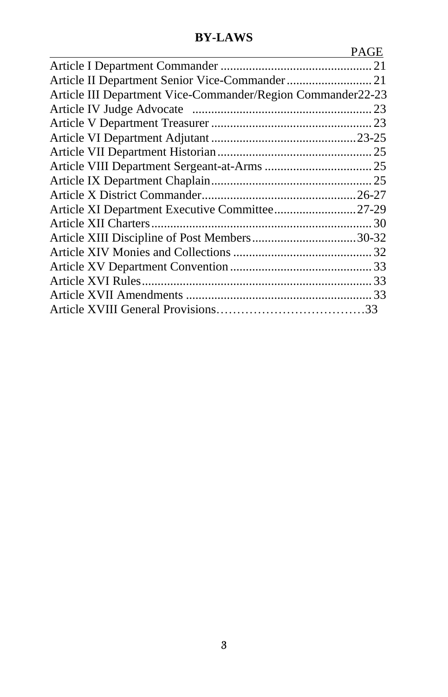# **BY-LAWS**

|                                                             | PAGE |
|-------------------------------------------------------------|------|
|                                                             |      |
| Article II Department Senior Vice-Commander 21              |      |
| Article III Department Vice-Commander/Region Commander22-23 |      |
|                                                             |      |
|                                                             |      |
|                                                             |      |
|                                                             |      |
|                                                             |      |
|                                                             |      |
|                                                             |      |
|                                                             |      |
|                                                             |      |
|                                                             |      |
|                                                             |      |
|                                                             |      |
|                                                             |      |
|                                                             |      |
|                                                             |      |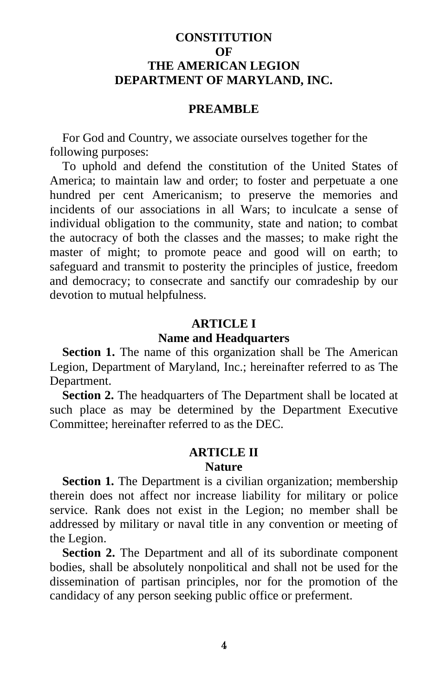### **CONSTITUTION OF THE AMERICAN LEGION DEPARTMENT OF MARYLAND, INC.**

#### **PREAMBLE**

For God and Country, we associate ourselves together for the following purposes:

To uphold and defend the constitution of the United States of America; to maintain law and order; to foster and perpetuate a one hundred per cent Americanism; to preserve the memories and incidents of our associations in all Wars; to inculcate a sense of individual obligation to the community, state and nation; to combat the autocracy of both the classes and the masses; to make right the master of might; to promote peace and good will on earth; to safeguard and transmit to posterity the principles of justice, freedom and democracy; to consecrate and sanctify our comradeship by our devotion to mutual helpfulness.

#### **ARTICLE I**

#### **Name and Headquarters**

**Section 1.** The name of this organization shall be The American Legion, Department of Maryland, Inc.; hereinafter referred to as The Department.

**Section 2.** The headquarters of The Department shall be located at such place as may be determined by the Department Executive Committee; hereinafter referred to as the DEC.

#### **ARTICLE II**

### **Nature**

**Section 1.** The Department is a civilian organization; membership therein does not affect nor increase liability for military or police service. Rank does not exist in the Legion; no member shall be addressed by military or naval title in any convention or meeting of the Legion.

**Section 2.** The Department and all of its subordinate component bodies, shall be absolutely nonpolitical and shall not be used for the dissemination of partisan principles, nor for the promotion of the candidacy of any person seeking public office or preferment.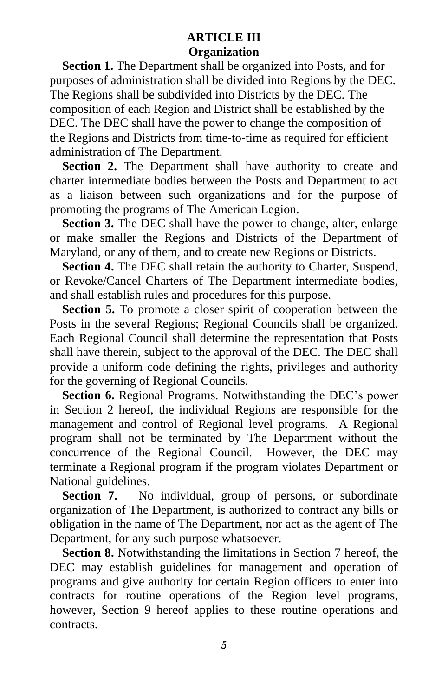### **ARTICLE III Organization**

**Section 1.** The Department shall be organized into Posts, and for purposes of administration shall be divided into Regions by the DEC. The Regions shall be subdivided into Districts by the DEC. The composition of each Region and District shall be established by the DEC. The DEC shall have the power to change the composition of the Regions and Districts from time-to-time as required for efficient administration of The Department.

**Section 2.** The Department shall have authority to create and charter intermediate bodies between the Posts and Department to act as a liaison between such organizations and for the purpose of promoting the programs of The American Legion.

**Section 3.** The DEC shall have the power to change, alter, enlarge or make smaller the Regions and Districts of the Department of Maryland, or any of them, and to create new Regions or Districts.

**Section 4.** The DEC shall retain the authority to Charter, Suspend, or Revoke/Cancel Charters of The Department intermediate bodies, and shall establish rules and procedures for this purpose.

**Section 5.** To promote a closer spirit of cooperation between the Posts in the several Regions; Regional Councils shall be organized. Each Regional Council shall determine the representation that Posts shall have therein, subject to the approval of the DEC. The DEC shall provide a uniform code defining the rights, privileges and authority for the governing of Regional Councils.

**Section 6.** Regional Programs. Notwithstanding the DEC's power in Section 2 hereof, the individual Regions are responsible for the management and control of Regional level programs. A Regional program shall not be terminated by The Department without the concurrence of the Regional Council. However, the DEC may terminate a Regional program if the program violates Department or National guidelines.

Section 7. No individual, group of persons, or subordinate organization of The Department, is authorized to contract any bills or obligation in the name of The Department, nor act as the agent of The Department, for any such purpose whatsoever.

**Section 8.** Notwithstanding the limitations in Section 7 hereof, the DEC may establish guidelines for management and operation of programs and give authority for certain Region officers to enter into contracts for routine operations of the Region level programs, however, Section 9 hereof applies to these routine operations and contracts.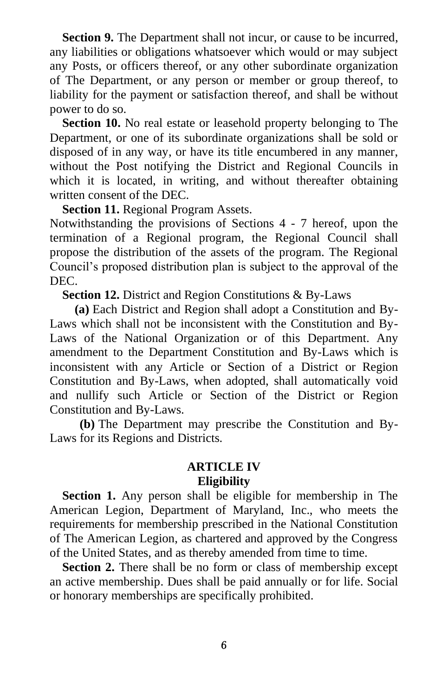**Section 9.** The Department shall not incur, or cause to be incurred, any liabilities or obligations whatsoever which would or may subject any Posts, or officers thereof, or any other subordinate organization of The Department, or any person or member or group thereof, to liability for the payment or satisfaction thereof, and shall be without power to do so.

**Section 10.** No real estate or leasehold property belonging to The Department, or one of its subordinate organizations shall be sold or disposed of in any way, or have its title encumbered in any manner, without the Post notifying the District and Regional Councils in which it is located, in writing, and without thereafter obtaining written consent of the DEC.

**Section 11.** Regional Program Assets.

Notwithstanding the provisions of Sections 4 - 7 hereof, upon the termination of a Regional program, the Regional Council shall propose the distribution of the assets of the program. The Regional Council's proposed distribution plan is subject to the approval of the DEC.

**Section 12.** District and Region Constitutions & By-Laws

**(a)** Each District and Region shall adopt a Constitution and By-Laws which shall not be inconsistent with the Constitution and By-Laws of the National Organization or of this Department. Any amendment to the Department Constitution and By-Laws which is inconsistent with any Article or Section of a District or Region Constitution and By-Laws, when adopted, shall automatically void and nullify such Article or Section of the District or Region Constitution and By-Laws.

**(b)** The Department may prescribe the Constitution and By-Laws for its Regions and Districts.

### **ARTICLE IV Eligibility**

**Section 1.** Any person shall be eligible for membership in The American Legion, Department of Maryland, Inc., who meets the requirements for membership prescribed in the National Constitution of The American Legion, as chartered and approved by the Congress of the United States, and as thereby amended from time to time.

**Section 2.** There shall be no form or class of membership except an active membership. Dues shall be paid annually or for life. Social or honorary memberships are specifically prohibited.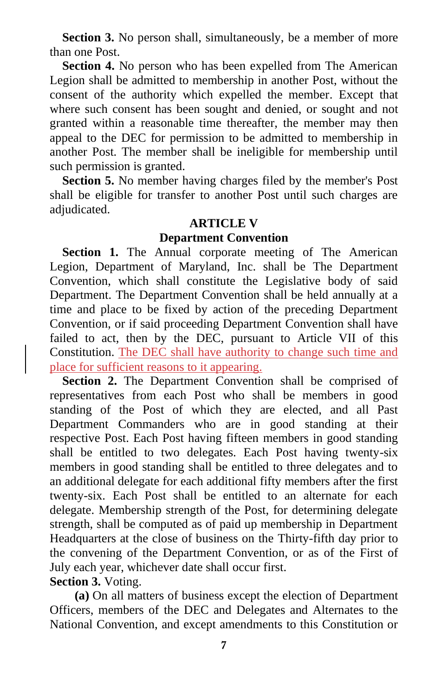**Section 3.** No person shall, simultaneously, be a member of more than one Post.

**Section 4.** No person who has been expelled from The American Legion shall be admitted to membership in another Post, without the consent of the authority which expelled the member. Except that where such consent has been sought and denied, or sought and not granted within a reasonable time thereafter, the member may then appeal to the DEC for permission to be admitted to membership in another Post. The member shall be ineligible for membership until such permission is granted.

**Section 5.** No member having charges filed by the member's Post shall be eligible for transfer to another Post until such charges are adjudicated.

#### **ARTICLE V**

#### **Department Convention**

**Section 1.** The Annual corporate meeting of The American Legion, Department of Maryland, Inc. shall be The Department Convention, which shall constitute the Legislative body of said Department. The Department Convention shall be held annually at a time and place to be fixed by action of the preceding Department Convention, or if said proceeding Department Convention shall have failed to act, then by the DEC, pursuant to Article VII of this Constitution. The DEC shall have authority to change such time and place for sufficient reasons to it appearing.

**Section 2.** The Department Convention shall be comprised of representatives from each Post who shall be members in good standing of the Post of which they are elected, and all Past Department Commanders who are in good standing at their respective Post. Each Post having fifteen members in good standing shall be entitled to two delegates. Each Post having twenty-six members in good standing shall be entitled to three delegates and to an additional delegate for each additional fifty members after the first twenty-six. Each Post shall be entitled to an alternate for each delegate. Membership strength of the Post, for determining delegate strength, shall be computed as of paid up membership in Department Headquarters at the close of business on the Thirty-fifth day prior to the convening of the Department Convention, or as of the First of July each year, whichever date shall occur first. **Section 3.** Voting.

**(a)** On all matters of business except the election of Department Officers, members of the DEC and Delegates and Alternates to the National Convention, and except amendments to this Constitution or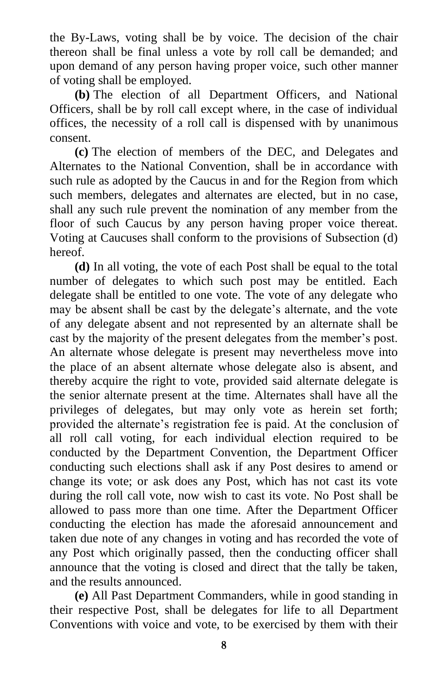the By-Laws, voting shall be by voice. The decision of the chair thereon shall be final unless a vote by roll call be demanded; and upon demand of any person having proper voice, such other manner of voting shall be employed.

**(b)** The election of all Department Officers, and National Officers, shall be by roll call except where, in the case of individual offices, the necessity of a roll call is dispensed with by unanimous consent.

**(c)** The election of members of the DEC, and Delegates and Alternates to the National Convention, shall be in accordance with such rule as adopted by the Caucus in and for the Region from which such members, delegates and alternates are elected, but in no case, shall any such rule prevent the nomination of any member from the floor of such Caucus by any person having proper voice thereat. Voting at Caucuses shall conform to the provisions of Subsection (d) hereof.

**(d)** In all voting, the vote of each Post shall be equal to the total number of delegates to which such post may be entitled. Each delegate shall be entitled to one vote. The vote of any delegate who may be absent shall be cast by the delegate's alternate, and the vote of any delegate absent and not represented by an alternate shall be cast by the majority of the present delegates from the member's post. An alternate whose delegate is present may nevertheless move into the place of an absent alternate whose delegate also is absent, and thereby acquire the right to vote, provided said alternate delegate is the senior alternate present at the time. Alternates shall have all the privileges of delegates, but may only vote as herein set forth; provided the alternate's registration fee is paid. At the conclusion of all roll call voting, for each individual election required to be conducted by the Department Convention, the Department Officer conducting such elections shall ask if any Post desires to amend or change its vote; or ask does any Post, which has not cast its vote during the roll call vote, now wish to cast its vote. No Post shall be allowed to pass more than one time. After the Department Officer conducting the election has made the aforesaid announcement and taken due note of any changes in voting and has recorded the vote of any Post which originally passed, then the conducting officer shall announce that the voting is closed and direct that the tally be taken, and the results announced.

**(e)** All Past Department Commanders, while in good standing in their respective Post, shall be delegates for life to all Department Conventions with voice and vote, to be exercised by them with their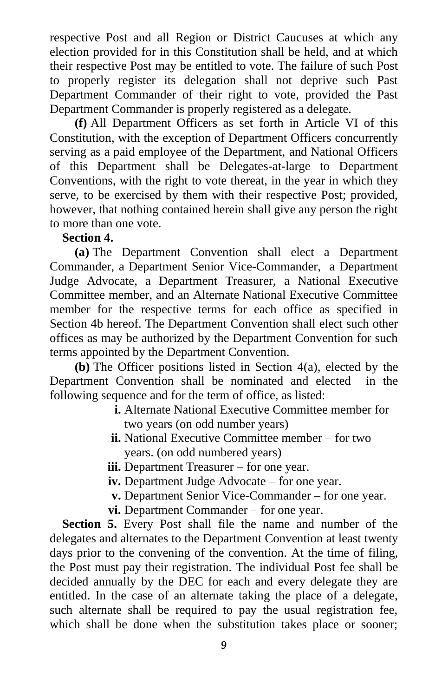respective Post and all Region or District Caucuses at which any election provided for in this Constitution shall be held, and at which their respective Post may be entitled to vote. The failure of such Post to properly register its delegation shall not deprive such Past Department Commander of their right to vote, provided the Past Department Commander is properly registered as a delegate.

**(f)** All Department Officers as set forth in Article VI of this Constitution, with the exception of Department Officers concurrently serving as a paid employee of the Department, and National Officers of this Department shall be Delegates-at-large to Department Conventions, with the right to vote thereat, in the year in which they serve, to be exercised by them with their respective Post; provided, however, that nothing contained herein shall give any person the right to more than one vote.

#### **Section 4.**

**(a)** The Department Convention shall elect a Department Commander, a Department Senior Vice-Commander, a Department Judge Advocate, a Department Treasurer, a National Executive Committee member, and an Alternate National Executive Committee member for the respective terms for each office as specified in Section 4b hereof. The Department Convention shall elect such other offices as may be authorized by the Department Convention for such terms appointed by the Department Convention.

**(b)** The Officer positions listed in Section 4(a), elected by the Department Convention shall be nominated and elected in the following sequence and for the term of office, as listed:

- **i.** Alternate National Executive Committee member for two years (on odd number years)
- **ii.** National Executive Committee member for two years. (on odd numbered years)
- **iii.** Department Treasurer for one year.
- **iv.** Department Judge Advocate for one year.
- **v.** Department Senior Vice-Commander for one year.
- **vi.** Department Commander for one year.

**Section 5.** Every Post shall file the name and number of the delegates and alternates to the Department Convention at least twenty days prior to the convening of the convention. At the time of filing, the Post must pay their registration. The individual Post fee shall be decided annually by the DEC for each and every delegate they are entitled. In the case of an alternate taking the place of a delegate, such alternate shall be required to pay the usual registration fee, which shall be done when the substitution takes place or sooner;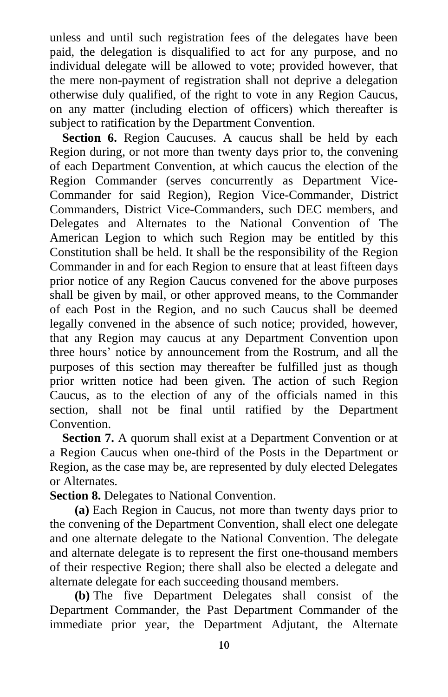unless and until such registration fees of the delegates have been paid, the delegation is disqualified to act for any purpose, and no individual delegate will be allowed to vote; provided however, that the mere non-payment of registration shall not deprive a delegation otherwise duly qualified, of the right to vote in any Region Caucus, on any matter (including election of officers) which thereafter is subject to ratification by the Department Convention.

Section 6. Region Caucuses. A caucus shall be held by each Region during, or not more than twenty days prior to, the convening of each Department Convention, at which caucus the election of the Region Commander (serves concurrently as Department Vice-Commander for said Region), Region Vice-Commander, District Commanders, District Vice-Commanders, such DEC members, and Delegates and Alternates to the National Convention of The American Legion to which such Region may be entitled by this Constitution shall be held. It shall be the responsibility of the Region Commander in and for each Region to ensure that at least fifteen days prior notice of any Region Caucus convened for the above purposes shall be given by mail, or other approved means, to the Commander of each Post in the Region, and no such Caucus shall be deemed legally convened in the absence of such notice; provided, however, that any Region may caucus at any Department Convention upon three hours' notice by announcement from the Rostrum, and all the purposes of this section may thereafter be fulfilled just as though prior written notice had been given. The action of such Region Caucus, as to the election of any of the officials named in this section, shall not be final until ratified by the Department Convention.

**Section 7.** A quorum shall exist at a Department Convention or at a Region Caucus when one-third of the Posts in the Department or Region, as the case may be, are represented by duly elected Delegates or Alternates.

**Section 8.** Delegates to National Convention.

**(a)** Each Region in Caucus, not more than twenty days prior to the convening of the Department Convention, shall elect one delegate and one alternate delegate to the National Convention. The delegate and alternate delegate is to represent the first one-thousand members of their respective Region; there shall also be elected a delegate and alternate delegate for each succeeding thousand members.

**(b)** The five Department Delegates shall consist of the Department Commander, the Past Department Commander of the immediate prior year, the Department Adjutant, the Alternate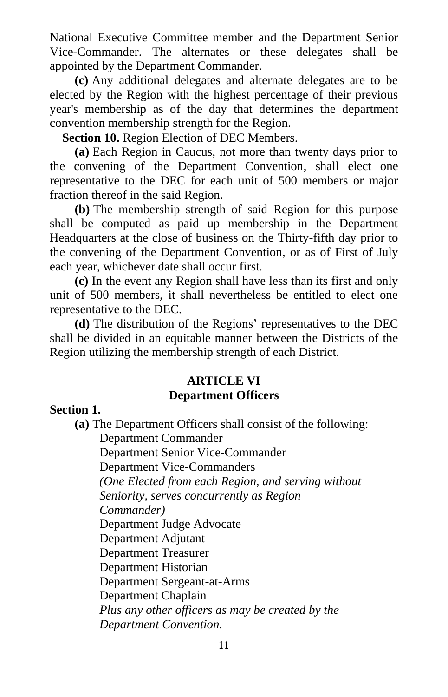National Executive Committee member and the Department Senior Vice-Commander. The alternates or these delegates shall be appointed by the Department Commander.

**(c)** Any additional delegates and alternate delegates are to be elected by the Region with the highest percentage of their previous year's membership as of the day that determines the department convention membership strength for the Region.

**Section 10.** Region Election of DEC Members.

**(a)** Each Region in Caucus, not more than twenty days prior to the convening of the Department Convention, shall elect one representative to the DEC for each unit of 500 members or major fraction thereof in the said Region.

**(b)** The membership strength of said Region for this purpose shall be computed as paid up membership in the Department Headquarters at the close of business on the Thirty-fifth day prior to the convening of the Department Convention, or as of First of July each year, whichever date shall occur first.

**(c)** In the event any Region shall have less than its first and only unit of 500 members, it shall nevertheless be entitled to elect one representative to the DEC.

**(d)** The distribution of the Regions' representatives to the DEC shall be divided in an equitable manner between the Districts of the Region utilizing the membership strength of each District.

### **ARTICLE VI Department Officers**

### **Section 1.**

**(a)** The Department Officers shall consist of the following:

Department Commander

Department Senior Vice-Commander

Department Vice-Commanders

*(One Elected from each Region, and serving without* 

*Seniority, serves concurrently as Region* 

*Commander)*

Department Judge Advocate

Department Adjutant

Department Treasurer

Department Historian

Department Sergeant-at-Arms

Department Chaplain

*Plus any other officers as may be created by the Department Convention.*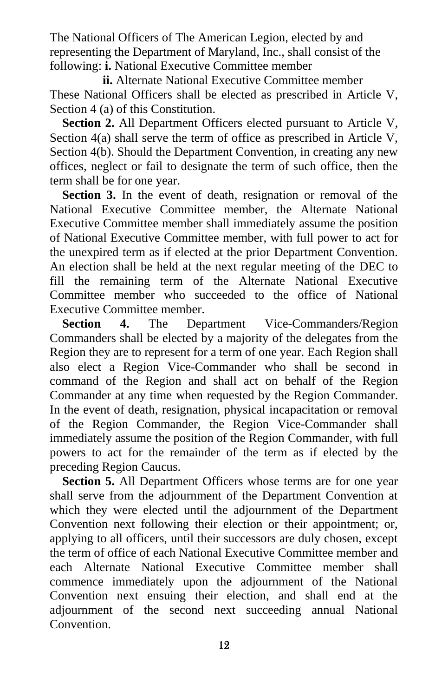The National Officers of The American Legion, elected by and representing the Department of Maryland, Inc., shall consist of the following: **i.** National Executive Committee member

**ii.** Alternate National Executive Committee member These National Officers shall be elected as prescribed in Article V, Section 4 (a) of this Constitution.

**Section 2.** All Department Officers elected pursuant to Article V, Section 4(a) shall serve the term of office as prescribed in Article V, Section 4(b). Should the Department Convention, in creating any new offices, neglect or fail to designate the term of such office, then the term shall be for one year.

**Section 3.** In the event of death, resignation or removal of the National Executive Committee member, the Alternate National Executive Committee member shall immediately assume the position of National Executive Committee member, with full power to act for the unexpired term as if elected at the prior Department Convention. An election shall be held at the next regular meeting of the DEC to fill the remaining term of the Alternate National Executive Committee member who succeeded to the office of National Executive Committee member.

**Section 4.** The Department Vice-Commanders/Region Commanders shall be elected by a majority of the delegates from the Region they are to represent for a term of one year. Each Region shall also elect a Region Vice-Commander who shall be second in command of the Region and shall act on behalf of the Region Commander at any time when requested by the Region Commander. In the event of death, resignation, physical incapacitation or removal of the Region Commander, the Region Vice-Commander shall immediately assume the position of the Region Commander, with full powers to act for the remainder of the term as if elected by the preceding Region Caucus.

**Section 5.** All Department Officers whose terms are for one year shall serve from the adjournment of the Department Convention at which they were elected until the adjournment of the Department Convention next following their election or their appointment; or, applying to all officers, until their successors are duly chosen, except the term of office of each National Executive Committee member and each Alternate National Executive Committee member shall commence immediately upon the adjournment of the National Convention next ensuing their election, and shall end at the adjournment of the second next succeeding annual National Convention.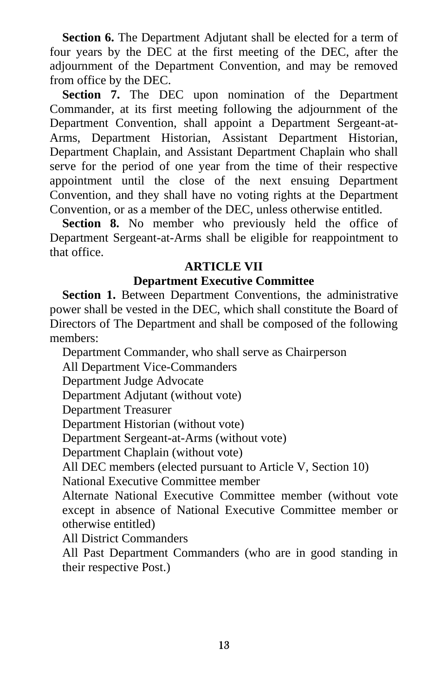**Section 6.** The Department Adjutant shall be elected for a term of four years by the DEC at the first meeting of the DEC, after the adjournment of the Department Convention, and may be removed from office by the DEC.

**Section 7.** The DEC upon nomination of the Department Commander, at its first meeting following the adjournment of the Department Convention, shall appoint a Department Sergeant-at-Arms, Department Historian, Assistant Department Historian, Department Chaplain, and Assistant Department Chaplain who shall serve for the period of one year from the time of their respective appointment until the close of the next ensuing Department Convention, and they shall have no voting rights at the Department Convention, or as a member of the DEC, unless otherwise entitled.

Section 8. No member who previously held the office of Department Sergeant-at-Arms shall be eligible for reappointment to that office.

### **ARTICLE VII**

### **Department Executive Committee**

**Section 1.** Between Department Conventions, the administrative power shall be vested in the DEC, which shall constitute the Board of Directors of The Department and shall be composed of the following members:

Department Commander, who shall serve as Chairperson

All Department Vice-Commanders

Department Judge Advocate

Department Adjutant (without vote)

Department Treasurer

Department Historian (without vote)

Department Sergeant-at-Arms (without vote)

Department Chaplain (without vote)

All DEC members (elected pursuant to Article V, Section 10)

National Executive Committee member

Alternate National Executive Committee member (without vote except in absence of National Executive Committee member or otherwise entitled)

All District Commanders

All Past Department Commanders (who are in good standing in their respective Post.)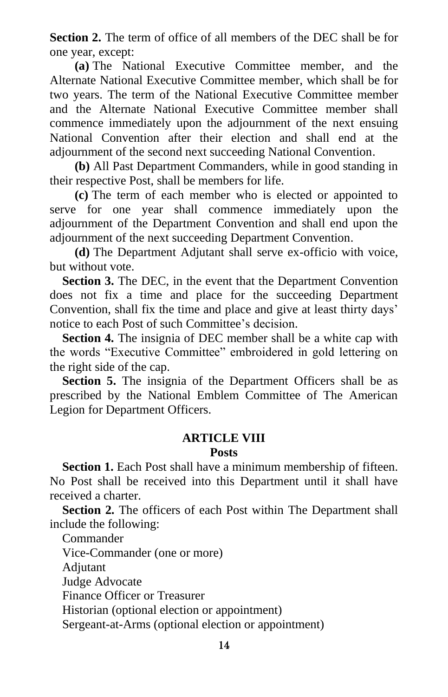**Section 2.** The term of office of all members of the DEC shall be for one year, except:

**(a)** The National Executive Committee member, and the Alternate National Executive Committee member, which shall be for two years. The term of the National Executive Committee member and the Alternate National Executive Committee member shall commence immediately upon the adjournment of the next ensuing National Convention after their election and shall end at the adjournment of the second next succeeding National Convention.

**(b)** All Past Department Commanders, while in good standing in their respective Post, shall be members for life.

**(c)** The term of each member who is elected or appointed to serve for one year shall commence immediately upon the adjournment of the Department Convention and shall end upon the adjournment of the next succeeding Department Convention.

**(d)** The Department Adjutant shall serve ex-officio with voice, but without vote.

**Section 3.** The DEC, in the event that the Department Convention does not fix a time and place for the succeeding Department Convention, shall fix the time and place and give at least thirty days' notice to each Post of such Committee's decision.

**Section 4.** The insignia of DEC member shall be a white cap with the words "Executive Committee" embroidered in gold lettering on the right side of the cap.

Section 5. The insignia of the Department Officers shall be as prescribed by the National Emblem Committee of The American Legion for Department Officers.

# **ARTICLE VIII**

#### **Posts**

**Section 1.** Each Post shall have a minimum membership of fifteen. No Post shall be received into this Department until it shall have received a charter.

**Section 2.** The officers of each Post within The Department shall include the following:

Commander Vice-Commander (one or more) Adjutant Judge Advocate Finance Officer or Treasurer Historian (optional election or appointment) Sergeant-at-Arms (optional election or appointment)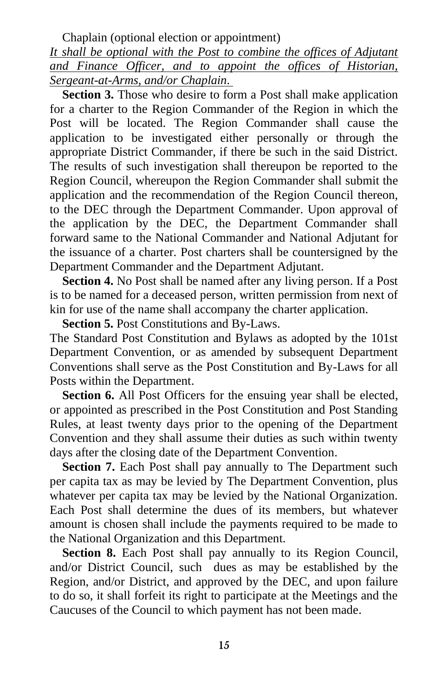Chaplain (optional election or appointment)

*It shall be optional with the Post to combine the offices of Adjutant and Finance Officer, and to appoint the offices of Historian, Sergeant-at-Arms, and/or Chaplain.* 

**Section 3.** Those who desire to form a Post shall make application for a charter to the Region Commander of the Region in which the Post will be located. The Region Commander shall cause the application to be investigated either personally or through the appropriate District Commander, if there be such in the said District. The results of such investigation shall thereupon be reported to the Region Council, whereupon the Region Commander shall submit the application and the recommendation of the Region Council thereon, to the DEC through the Department Commander. Upon approval of the application by the DEC, the Department Commander shall forward same to the National Commander and National Adjutant for the issuance of a charter. Post charters shall be countersigned by the Department Commander and the Department Adjutant.

**Section 4.** No Post shall be named after any living person. If a Post is to be named for a deceased person, written permission from next of kin for use of the name shall accompany the charter application.

**Section 5.** Post Constitutions and By-Laws.

The Standard Post Constitution and Bylaws as adopted by the 101st Department Convention, or as amended by subsequent Department Conventions shall serve as the Post Constitution and By-Laws for all Posts within the Department.

Section 6. All Post Officers for the ensuing year shall be elected, or appointed as prescribed in the Post Constitution and Post Standing Rules, at least twenty days prior to the opening of the Department Convention and they shall assume their duties as such within twenty days after the closing date of the Department Convention.

**Section 7.** Each Post shall pay annually to The Department such per capita tax as may be levied by The Department Convention, plus whatever per capita tax may be levied by the National Organization. Each Post shall determine the dues of its members, but whatever amount is chosen shall include the payments required to be made to the National Organization and this Department.

**Section 8.** Each Post shall pay annually to its Region Council, and/or District Council, such dues as may be established by the Region, and/or District, and approved by the DEC, and upon failure to do so, it shall forfeit its right to participate at the Meetings and the Caucuses of the Council to which payment has not been made.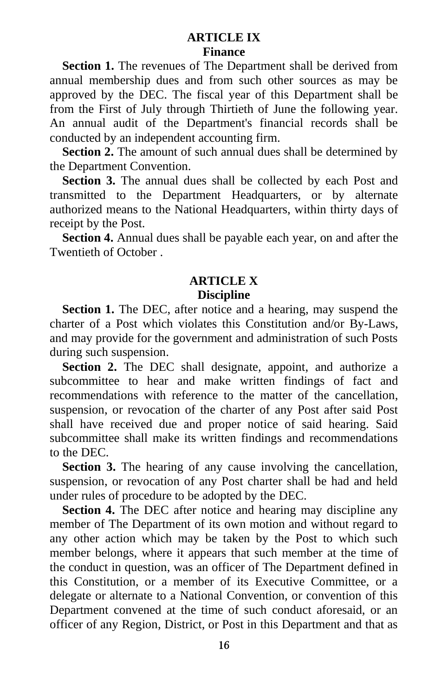### **ARTICLE IX Finance**

**Section 1.** The revenues of The Department shall be derived from annual membership dues and from such other sources as may be approved by the DEC. The fiscal year of this Department shall be from the First of July through Thirtieth of June the following year. An annual audit of the Department's financial records shall be conducted by an independent accounting firm.

**Section 2.** The amount of such annual dues shall be determined by the Department Convention.

**Section 3.** The annual dues shall be collected by each Post and transmitted to the Department Headquarters, or by alternate authorized means to the National Headquarters, within thirty days of receipt by the Post.

**Section 4.** Annual dues shall be payable each year, on and after the Twentieth of October .

### **ARTICLE X Discipline**

**Section 1.** The DEC, after notice and a hearing, may suspend the charter of a Post which violates this Constitution and/or By-Laws, and may provide for the government and administration of such Posts during such suspension.

**Section 2.** The DEC shall designate, appoint, and authorize a subcommittee to hear and make written findings of fact and recommendations with reference to the matter of the cancellation, suspension, or revocation of the charter of any Post after said Post shall have received due and proper notice of said hearing. Said subcommittee shall make its written findings and recommendations to the DEC.

**Section 3.** The hearing of any cause involving the cancellation, suspension, or revocation of any Post charter shall be had and held under rules of procedure to be adopted by the DEC.

**Section 4.** The DEC after notice and hearing may discipline any member of The Department of its own motion and without regard to any other action which may be taken by the Post to which such member belongs, where it appears that such member at the time of the conduct in question, was an officer of The Department defined in this Constitution, or a member of its Executive Committee, or a delegate or alternate to a National Convention, or convention of this Department convened at the time of such conduct aforesaid, or an officer of any Region, District, or Post in this Department and that as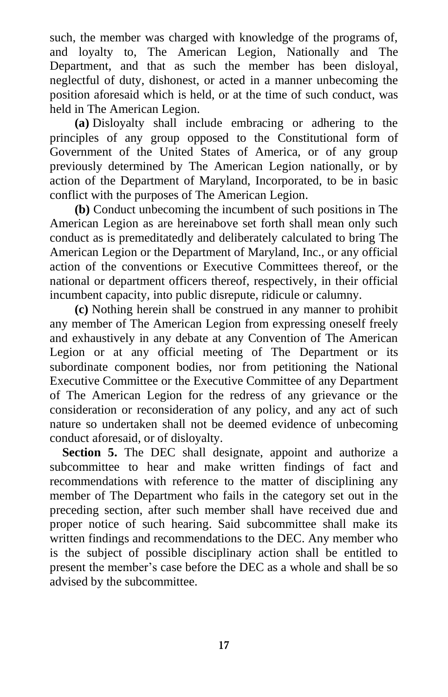such, the member was charged with knowledge of the programs of, and loyalty to, The American Legion, Nationally and The Department, and that as such the member has been disloyal, neglectful of duty, dishonest, or acted in a manner unbecoming the position aforesaid which is held, or at the time of such conduct, was held in The American Legion.

**(a)** Disloyalty shall include embracing or adhering to the principles of any group opposed to the Constitutional form of Government of the United States of America, or of any group previously determined by The American Legion nationally, or by action of the Department of Maryland, Incorporated, to be in basic conflict with the purposes of The American Legion.

**(b)** Conduct unbecoming the incumbent of such positions in The American Legion as are hereinabove set forth shall mean only such conduct as is premeditatedly and deliberately calculated to bring The American Legion or the Department of Maryland, Inc., or any official action of the conventions or Executive Committees thereof, or the national or department officers thereof, respectively, in their official incumbent capacity, into public disrepute, ridicule or calumny.

**(c)** Nothing herein shall be construed in any manner to prohibit any member of The American Legion from expressing oneself freely and exhaustively in any debate at any Convention of The American Legion or at any official meeting of The Department or its subordinate component bodies, nor from petitioning the National Executive Committee or the Executive Committee of any Department of The American Legion for the redress of any grievance or the consideration or reconsideration of any policy, and any act of such nature so undertaken shall not be deemed evidence of unbecoming conduct aforesaid, or of disloyalty.

**Section 5.** The DEC shall designate, appoint and authorize a subcommittee to hear and make written findings of fact and recommendations with reference to the matter of disciplining any member of The Department who fails in the category set out in the preceding section, after such member shall have received due and proper notice of such hearing. Said subcommittee shall make its written findings and recommendations to the DEC. Any member who is the subject of possible disciplinary action shall be entitled to present the member's case before the DEC as a whole and shall be so advised by the subcommittee.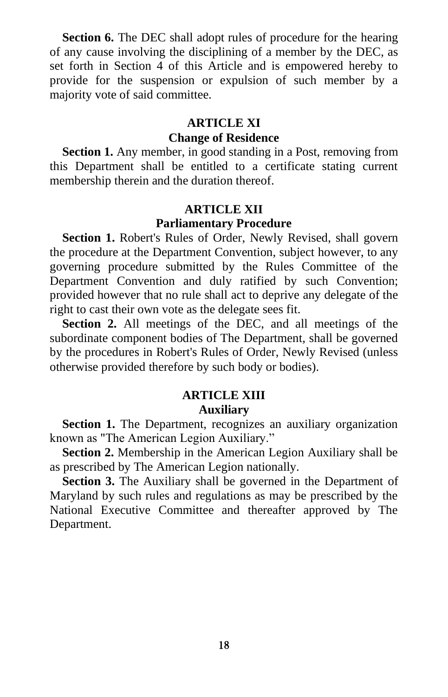**Section 6.** The DEC shall adopt rules of procedure for the hearing of any cause involving the disciplining of a member by the DEC, as set forth in Section 4 of this Article and is empowered hereby to provide for the suspension or expulsion of such member by a majority vote of said committee.

#### **ARTICLE XI**

#### **Change of Residence**

**Section 1.** Any member, in good standing in a Post, removing from this Department shall be entitled to a certificate stating current membership therein and the duration thereof.

#### **ARTICLE XII Parliamentary Procedure**

**Section 1.** Robert's Rules of Order, Newly Revised, shall govern the procedure at the Department Convention, subject however, to any governing procedure submitted by the Rules Committee of the Department Convention and duly ratified by such Convention; provided however that no rule shall act to deprive any delegate of the right to cast their own vote as the delegate sees fit.

**Section 2.** All meetings of the DEC, and all meetings of the subordinate component bodies of The Department, shall be governed by the procedures in Robert's Rules of Order, Newly Revised (unless otherwise provided therefore by such body or bodies).

# **ARTICLE XIII**

### **Auxiliary**

**Section 1.** The Department, recognizes an auxiliary organization known as "The American Legion Auxiliary."

**Section 2.** Membership in the American Legion Auxiliary shall be as prescribed by The American Legion nationally.

**Section 3.** The Auxiliary shall be governed in the Department of Maryland by such rules and regulations as may be prescribed by the National Executive Committee and thereafter approved by The Department.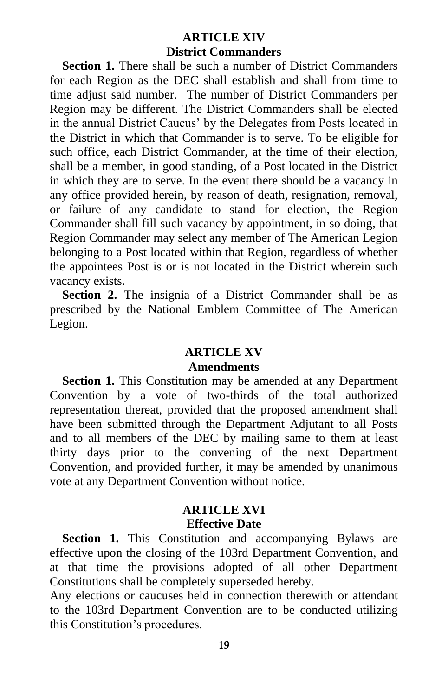### **ARTICLE XIV District Commanders**

**Section 1.** There shall be such a number of District Commanders for each Region as the DEC shall establish and shall from time to time adjust said number. The number of District Commanders per Region may be different. The District Commanders shall be elected in the annual District Caucus' by the Delegates from Posts located in the District in which that Commander is to serve. To be eligible for such office, each District Commander, at the time of their election, shall be a member, in good standing, of a Post located in the District in which they are to serve. In the event there should be a vacancy in any office provided herein, by reason of death, resignation, removal, or failure of any candidate to stand for election, the Region Commander shall fill such vacancy by appointment, in so doing, that Region Commander may select any member of The American Legion belonging to a Post located within that Region, regardless of whether the appointees Post is or is not located in the District wherein such vacancy exists.

**Section 2.** The insignia of a District Commander shall be as prescribed by the National Emblem Committee of The American Legion.

### **ARTICLE XV Amendments**

**Section 1.** This Constitution may be amended at any Department Convention by a vote of two-thirds of the total authorized representation thereat, provided that the proposed amendment shall have been submitted through the Department Adjutant to all Posts and to all members of the DEC by mailing same to them at least thirty days prior to the convening of the next Department Convention, and provided further, it may be amended by unanimous vote at any Department Convention without notice.

### **ARTICLE XVI Effective Date**

**Section 1.** This Constitution and accompanying Bylaws are effective upon the closing of the 103rd Department Convention, and at that time the provisions adopted of all other Department Constitutions shall be completely superseded hereby.

Any elections or caucuses held in connection therewith or attendant to the 103rd Department Convention are to be conducted utilizing this Constitution's procedures.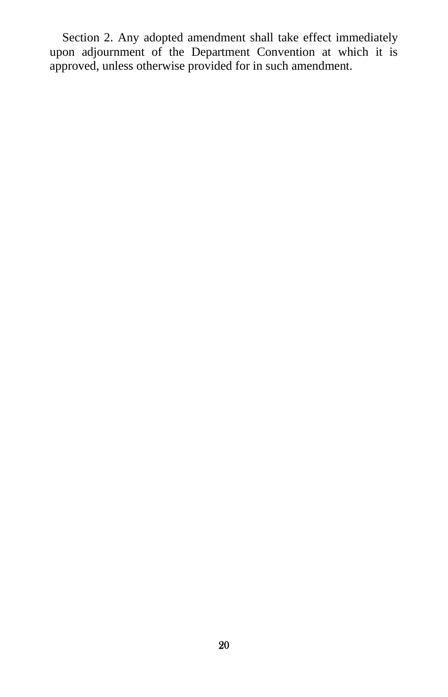Section 2. Any adopted amendment shall take effect immediately upon adjournment of the Department Convention at which it is approved, unless otherwise provided for in such amendment.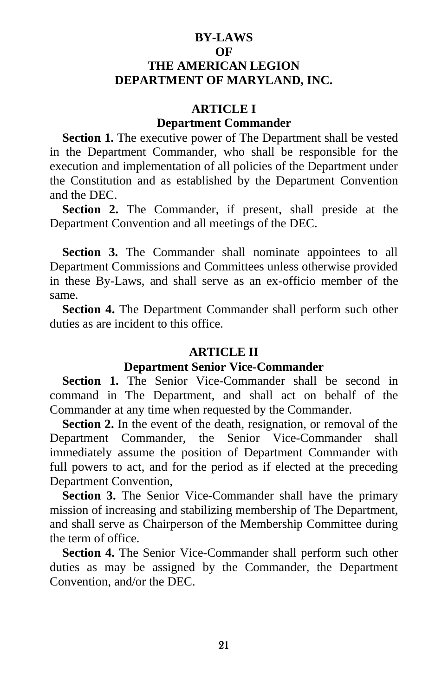### **BY-LAWS OF THE AMERICAN LEGION DEPARTMENT OF MARYLAND, INC.**

#### **ARTICLE I Department Commander**

### **Section 1.** The executive power of The Department shall be vested in the Department Commander, who shall be responsible for the execution and implementation of all policies of the Department under the Constitution and as established by the Department Convention and the DEC.

**Section 2.** The Commander, if present, shall preside at the Department Convention and all meetings of the DEC.

**Section 3.** The Commander shall nominate appointees to all Department Commissions and Committees unless otherwise provided in these By-Laws, and shall serve as an ex-officio member of the same.

**Section 4.** The Department Commander shall perform such other duties as are incident to this office.

#### **ARTICLE II**

#### **Department Senior Vice-Commander**

**Section 1.** The Senior Vice-Commander shall be second in command in The Department, and shall act on behalf of the Commander at any time when requested by the Commander.

**Section 2.** In the event of the death, resignation, or removal of the Department Commander, the Senior Vice-Commander shall immediately assume the position of Department Commander with full powers to act, and for the period as if elected at the preceding Department Convention,

**Section 3.** The Senior Vice-Commander shall have the primary mission of increasing and stabilizing membership of The Department, and shall serve as Chairperson of the Membership Committee during the term of office.

**Section 4.** The Senior Vice-Commander shall perform such other duties as may be assigned by the Commander, the Department Convention, and/or the DEC.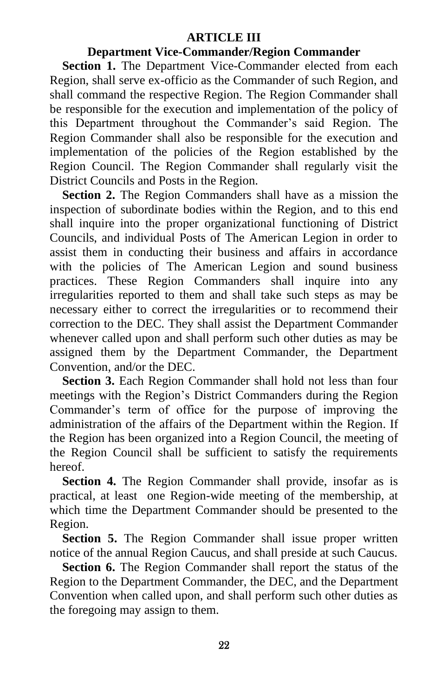#### **ARTICLE III**

#### **Department Vice-Commander/Region Commander**

**Section 1.** The Department Vice-Commander elected from each Region, shall serve ex-officio as the Commander of such Region, and shall command the respective Region. The Region Commander shall be responsible for the execution and implementation of the policy of this Department throughout the Commander's said Region. The Region Commander shall also be responsible for the execution and implementation of the policies of the Region established by the Region Council. The Region Commander shall regularly visit the District Councils and Posts in the Region.

**Section 2.** The Region Commanders shall have as a mission the inspection of subordinate bodies within the Region, and to this end shall inquire into the proper organizational functioning of District Councils, and individual Posts of The American Legion in order to assist them in conducting their business and affairs in accordance with the policies of The American Legion and sound business practices. These Region Commanders shall inquire into any irregularities reported to them and shall take such steps as may be necessary either to correct the irregularities or to recommend their correction to the DEC. They shall assist the Department Commander whenever called upon and shall perform such other duties as may be assigned them by the Department Commander, the Department Convention, and/or the DEC.

**Section 3.** Each Region Commander shall hold not less than four meetings with the Region's District Commanders during the Region Commander's term of office for the purpose of improving the administration of the affairs of the Department within the Region. If the Region has been organized into a Region Council, the meeting of the Region Council shall be sufficient to satisfy the requirements hereof.

**Section 4.** The Region Commander shall provide, insofar as is practical, at least one Region-wide meeting of the membership, at which time the Department Commander should be presented to the Region.

**Section 5.** The Region Commander shall issue proper written notice of the annual Region Caucus, and shall preside at such Caucus.

**Section 6.** The Region Commander shall report the status of the Region to the Department Commander, the DEC, and the Department Convention when called upon, and shall perform such other duties as the foregoing may assign to them.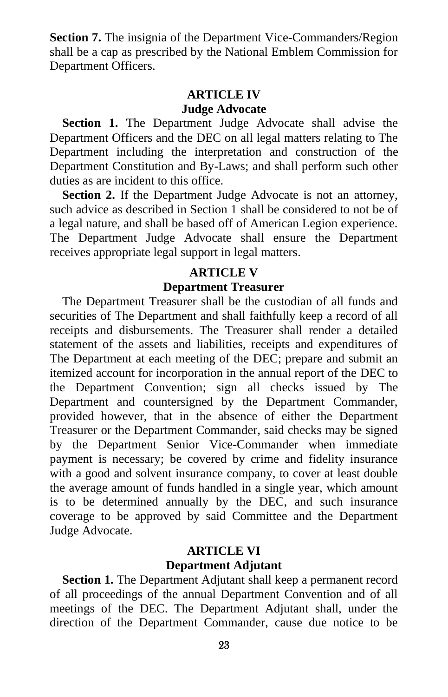**Section 7.** The insignia of the Department Vice-Commanders/Region shall be a cap as prescribed by the National Emblem Commission for Department Officers.

### **ARTICLE IV Judge Advocate**

**Section 1.** The Department Judge Advocate shall advise the Department Officers and the DEC on all legal matters relating to The Department including the interpretation and construction of the Department Constitution and By-Laws; and shall perform such other duties as are incident to this office.

**Section 2.** If the Department Judge Advocate is not an attorney, such advice as described in Section 1 shall be considered to not be of a legal nature, and shall be based off of American Legion experience. The Department Judge Advocate shall ensure the Department receives appropriate legal support in legal matters.

#### **ARTICLE V**

#### **Department Treasurer**

The Department Treasurer shall be the custodian of all funds and securities of The Department and shall faithfully keep a record of all receipts and disbursements. The Treasurer shall render a detailed statement of the assets and liabilities, receipts and expenditures of The Department at each meeting of the DEC; prepare and submit an itemized account for incorporation in the annual report of the DEC to the Department Convention; sign all checks issued by The Department and countersigned by the Department Commander, provided however, that in the absence of either the Department Treasurer or the Department Commander, said checks may be signed by the Department Senior Vice-Commander when immediate payment is necessary; be covered by crime and fidelity insurance with a good and solvent insurance company, to cover at least double the average amount of funds handled in a single year, which amount is to be determined annually by the DEC, and such insurance coverage to be approved by said Committee and the Department Judge Advocate.

### **ARTICLE VI Department Adjutant**

**Section 1.** The Department Adjutant shall keep a permanent record of all proceedings of the annual Department Convention and of all meetings of the DEC. The Department Adjutant shall, under the direction of the Department Commander, cause due notice to be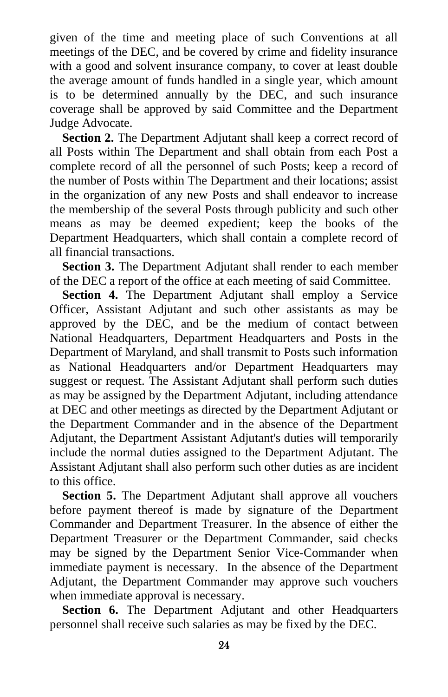given of the time and meeting place of such Conventions at all meetings of the DEC, and be covered by crime and fidelity insurance with a good and solvent insurance company, to cover at least double the average amount of funds handled in a single year, which amount is to be determined annually by the DEC, and such insurance coverage shall be approved by said Committee and the Department Judge Advocate.

**Section 2.** The Department Adjutant shall keep a correct record of all Posts within The Department and shall obtain from each Post a complete record of all the personnel of such Posts; keep a record of the number of Posts within The Department and their locations; assist in the organization of any new Posts and shall endeavor to increase the membership of the several Posts through publicity and such other means as may be deemed expedient; keep the books of the Department Headquarters, which shall contain a complete record of all financial transactions.

**Section 3.** The Department Adjutant shall render to each member of the DEC a report of the office at each meeting of said Committee.

**Section 4.** The Department Adjutant shall employ a Service Officer, Assistant Adjutant and such other assistants as may be approved by the DEC, and be the medium of contact between National Headquarters, Department Headquarters and Posts in the Department of Maryland, and shall transmit to Posts such information as National Headquarters and/or Department Headquarters may suggest or request. The Assistant Adjutant shall perform such duties as may be assigned by the Department Adjutant, including attendance at DEC and other meetings as directed by the Department Adjutant or the Department Commander and in the absence of the Department Adjutant, the Department Assistant Adjutant's duties will temporarily include the normal duties assigned to the Department Adjutant. The Assistant Adjutant shall also perform such other duties as are incident to this office.

**Section 5.** The Department Adjutant shall approve all vouchers before payment thereof is made by signature of the Department Commander and Department Treasurer. In the absence of either the Department Treasurer or the Department Commander, said checks may be signed by the Department Senior Vice-Commander when immediate payment is necessary. In the absence of the Department Adjutant, the Department Commander may approve such vouchers when immediate approval is necessary.

**Section 6.** The Department Adjutant and other Headquarters personnel shall receive such salaries as may be fixed by the DEC.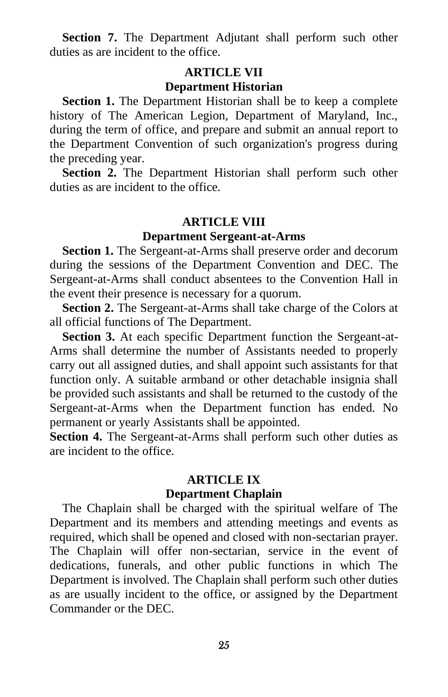**Section 7.** The Department Adjutant shall perform such other duties as are incident to the office.

#### **ARTICLE VII Department Historian**

**Section 1.** The Department Historian shall be to keep a complete history of The American Legion, Department of Maryland, Inc., during the term of office, and prepare and submit an annual report to the Department Convention of such organization's progress during the preceding year.

**Section 2.** The Department Historian shall perform such other duties as are incident to the office.

#### **ARTICLE VIII**

#### **Department Sergeant-at-Arms**

**Section 1.** The Sergeant-at-Arms shall preserve order and decorum during the sessions of the Department Convention and DEC. The Sergeant-at-Arms shall conduct absentees to the Convention Hall in the event their presence is necessary for a quorum.

**Section 2.** The Sergeant-at-Arms shall take charge of the Colors at all official functions of The Department.

**Section 3.** At each specific Department function the Sergeant-at-Arms shall determine the number of Assistants needed to properly carry out all assigned duties, and shall appoint such assistants for that function only. A suitable armband or other detachable insignia shall be provided such assistants and shall be returned to the custody of the Sergeant-at-Arms when the Department function has ended. No permanent or yearly Assistants shall be appointed.

**Section 4.** The Sergeant-at-Arms shall perform such other duties as are incident to the office.

#### **ARTICLE IX Department Chaplain**

The Chaplain shall be charged with the spiritual welfare of The Department and its members and attending meetings and events as required, which shall be opened and closed with non-sectarian prayer. The Chaplain will offer non-sectarian, service in the event of dedications, funerals, and other public functions in which The Department is involved. The Chaplain shall perform such other duties as are usually incident to the office, or assigned by the Department Commander or the DEC.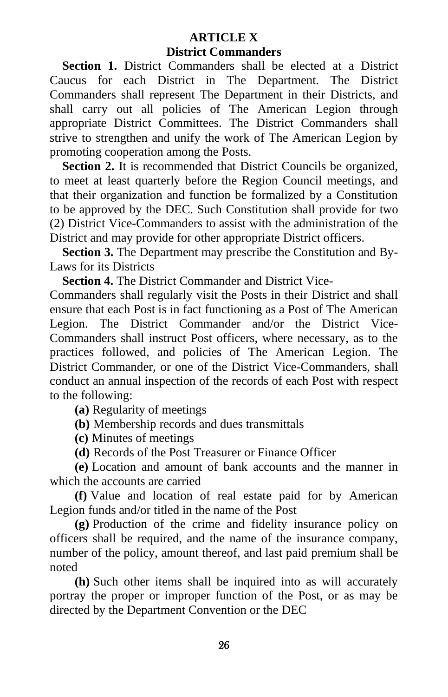# **ARTICLE X District Commanders**

**Section 1.** District Commanders shall be elected at a District Caucus for each District in The Department. The District Commanders shall represent The Department in their Districts, and shall carry out all policies of The American Legion through appropriate District Committees. The District Commanders shall strive to strengthen and unify the work of The American Legion by promoting cooperation among the Posts.

**Section 2.** It is recommended that District Councils be organized, to meet at least quarterly before the Region Council meetings, and that their organization and function be formalized by a Constitution to be approved by the DEC. Such Constitution shall provide for two (2) District Vice-Commanders to assist with the administration of the District and may provide for other appropriate District officers.

**Section 3.** The Department may prescribe the Constitution and By-Laws for its Districts

**Section 4.** The District Commander and District Vice-

Commanders shall regularly visit the Posts in their District and shall ensure that each Post is in fact functioning as a Post of The American Legion. The District Commander and/or the District Vice-Commanders shall instruct Post officers, where necessary, as to the practices followed, and policies of The American Legion. The District Commander, or one of the District Vice-Commanders, shall conduct an annual inspection of the records of each Post with respect to the following:

**(a)** Regularity of meetings

**(b)** Membership records and dues transmittals

**(c)** Minutes of meetings

**(d)** Records of the Post Treasurer or Finance Officer

**(e)** Location and amount of bank accounts and the manner in which the accounts are carried

**(f)** Value and location of real estate paid for by American Legion funds and/or titled in the name of the Post

**(g)** Production of the crime and fidelity insurance policy on officers shall be required, and the name of the insurance company, number of the policy, amount thereof, and last paid premium shall be noted

**(h)** Such other items shall be inquired into as will accurately portray the proper or improper function of the Post, or as may be directed by the Department Convention or the DEC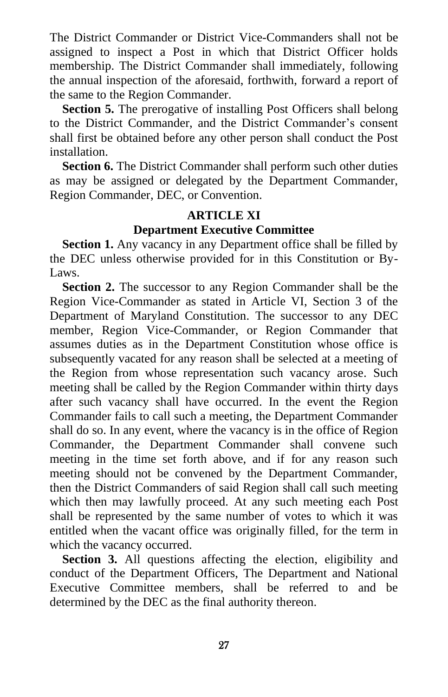The District Commander or District Vice-Commanders shall not be assigned to inspect a Post in which that District Officer holds membership. The District Commander shall immediately, following the annual inspection of the aforesaid, forthwith, forward a report of the same to the Region Commander.

**Section 5.** The prerogative of installing Post Officers shall belong to the District Commander, and the District Commander's consent shall first be obtained before any other person shall conduct the Post installation.

**Section 6.** The District Commander shall perform such other duties as may be assigned or delegated by the Department Commander, Region Commander, DEC, or Convention.

# **ARTICLE XI Department Executive Committee**

**Section 1.** Any vacancy in any Department office shall be filled by the DEC unless otherwise provided for in this Constitution or By-Laws.

**Section 2.** The successor to any Region Commander shall be the Region Vice-Commander as stated in Article VI, Section 3 of the Department of Maryland Constitution. The successor to any DEC member, Region Vice-Commander, or Region Commander that assumes duties as in the Department Constitution whose office is subsequently vacated for any reason shall be selected at a meeting of the Region from whose representation such vacancy arose. Such meeting shall be called by the Region Commander within thirty days after such vacancy shall have occurred. In the event the Region Commander fails to call such a meeting, the Department Commander shall do so. In any event, where the vacancy is in the office of Region Commander, the Department Commander shall convene such meeting in the time set forth above, and if for any reason such meeting should not be convened by the Department Commander, then the District Commanders of said Region shall call such meeting which then may lawfully proceed. At any such meeting each Post shall be represented by the same number of votes to which it was entitled when the vacant office was originally filled, for the term in which the vacancy occurred.

**Section 3.** All questions affecting the election, eligibility and conduct of the Department Officers, The Department and National Executive Committee members, shall be referred to and be determined by the DEC as the final authority thereon.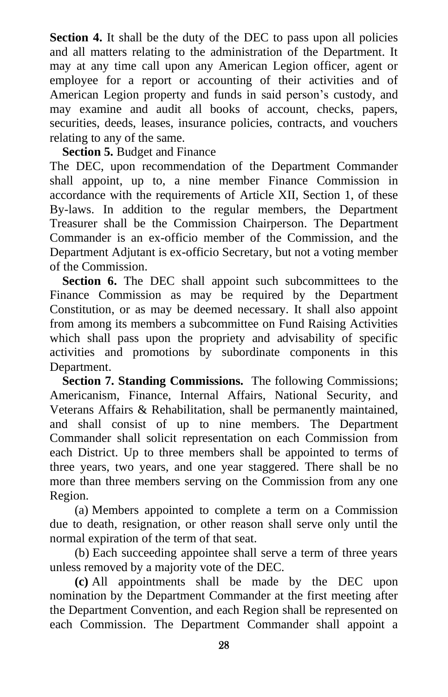**Section 4.** It shall be the duty of the DEC to pass upon all policies and all matters relating to the administration of the Department. It may at any time call upon any American Legion officer, agent or employee for a report or accounting of their activities and of American Legion property and funds in said person's custody, and may examine and audit all books of account, checks, papers, securities, deeds, leases, insurance policies, contracts, and vouchers relating to any of the same.

### **Section 5.** Budget and Finance

The DEC, upon recommendation of the Department Commander shall appoint, up to, a nine member Finance Commission in accordance with the requirements of Article XII, Section 1, of these By-laws. In addition to the regular members, the Department Treasurer shall be the Commission Chairperson. The Department Commander is an ex-officio member of the Commission, and the Department Adjutant is ex-officio Secretary, but not a voting member of the Commission.

Section 6. The DEC shall appoint such subcommittees to the Finance Commission as may be required by the Department Constitution, or as may be deemed necessary. It shall also appoint from among its members a subcommittee on Fund Raising Activities which shall pass upon the propriety and advisability of specific activities and promotions by subordinate components in this Department.

**Section 7. Standing Commissions.** The following Commissions; Americanism, Finance, Internal Affairs, National Security, and Veterans Affairs & Rehabilitation, shall be permanently maintained, and shall consist of up to nine members. The Department Commander shall solicit representation on each Commission from each District. Up to three members shall be appointed to terms of three years, two years, and one year staggered. There shall be no more than three members serving on the Commission from any one Region.

(a) Members appointed to complete a term on a Commission due to death, resignation, or other reason shall serve only until the normal expiration of the term of that seat.

(b) Each succeeding appointee shall serve a term of three years unless removed by a majority vote of the DEC.

**(c)** All appointments shall be made by the DEC upon nomination by the Department Commander at the first meeting after the Department Convention, and each Region shall be represented on each Commission. The Department Commander shall appoint a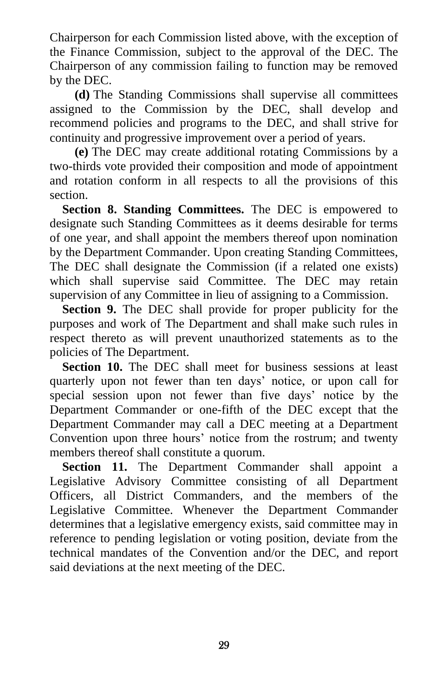Chairperson for each Commission listed above, with the exception of the Finance Commission, subject to the approval of the DEC. The Chairperson of any commission failing to function may be removed by the DEC.

**(d)** The Standing Commissions shall supervise all committees assigned to the Commission by the DEC, shall develop and recommend policies and programs to the DEC, and shall strive for continuity and progressive improvement over a period of years.

**(e)** The DEC may create additional rotating Commissions by a two-thirds vote provided their composition and mode of appointment and rotation conform in all respects to all the provisions of this section.

**Section 8. Standing Committees.** The DEC is empowered to designate such Standing Committees as it deems desirable for terms of one year, and shall appoint the members thereof upon nomination by the Department Commander. Upon creating Standing Committees, The DEC shall designate the Commission (if a related one exists) which shall supervise said Committee. The DEC may retain supervision of any Committee in lieu of assigning to a Commission.

**Section 9.** The DEC shall provide for proper publicity for the purposes and work of The Department and shall make such rules in respect thereto as will prevent unauthorized statements as to the policies of The Department.

**Section 10.** The DEC shall meet for business sessions at least quarterly upon not fewer than ten days' notice, or upon call for special session upon not fewer than five days' notice by the Department Commander or one-fifth of the DEC except that the Department Commander may call a DEC meeting at a Department Convention upon three hours' notice from the rostrum; and twenty members thereof shall constitute a quorum.

**Section 11.** The Department Commander shall appoint a Legislative Advisory Committee consisting of all Department Officers, all District Commanders, and the members of the Legislative Committee. Whenever the Department Commander determines that a legislative emergency exists, said committee may in reference to pending legislation or voting position, deviate from the technical mandates of the Convention and/or the DEC, and report said deviations at the next meeting of the DEC.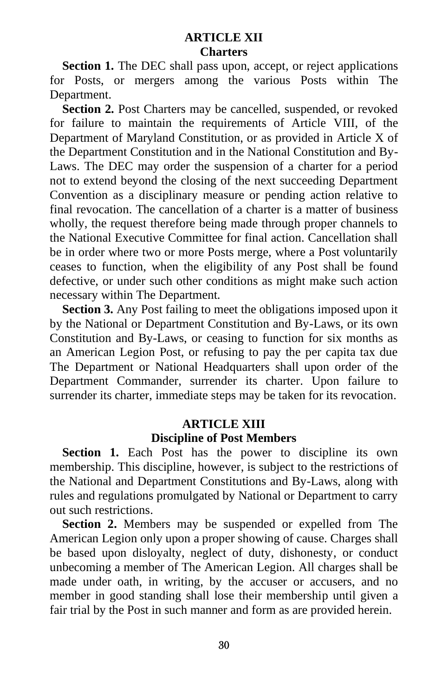### **ARTICLE XII Charters**

**Section 1.** The DEC shall pass upon, accept, or reject applications for Posts, or mergers among the various Posts within The Department.

**Section 2.** Post Charters may be cancelled, suspended, or revoked for failure to maintain the requirements of Article VIII, of the Department of Maryland Constitution, or as provided in Article X of the Department Constitution and in the National Constitution and By-Laws. The DEC may order the suspension of a charter for a period not to extend beyond the closing of the next succeeding Department Convention as a disciplinary measure or pending action relative to final revocation. The cancellation of a charter is a matter of business wholly, the request therefore being made through proper channels to the National Executive Committee for final action. Cancellation shall be in order where two or more Posts merge, where a Post voluntarily ceases to function, when the eligibility of any Post shall be found defective, or under such other conditions as might make such action necessary within The Department.

**Section 3.** Any Post failing to meet the obligations imposed upon it by the National or Department Constitution and By-Laws, or its own Constitution and By-Laws, or ceasing to function for six months as an American Legion Post, or refusing to pay the per capita tax due The Department or National Headquarters shall upon order of the Department Commander, surrender its charter. Upon failure to surrender its charter, immediate steps may be taken for its revocation.

#### **ARTICLE XIII Discipline of Post Members**

**Section 1.** Each Post has the power to discipline its own membership. This discipline, however, is subject to the restrictions of the National and Department Constitutions and By-Laws, along with rules and regulations promulgated by National or Department to carry out such restrictions.

**Section 2.** Members may be suspended or expelled from The American Legion only upon a proper showing of cause. Charges shall be based upon disloyalty, neglect of duty, dishonesty, or conduct unbecoming a member of The American Legion. All charges shall be made under oath, in writing, by the accuser or accusers, and no member in good standing shall lose their membership until given a fair trial by the Post in such manner and form as are provided herein.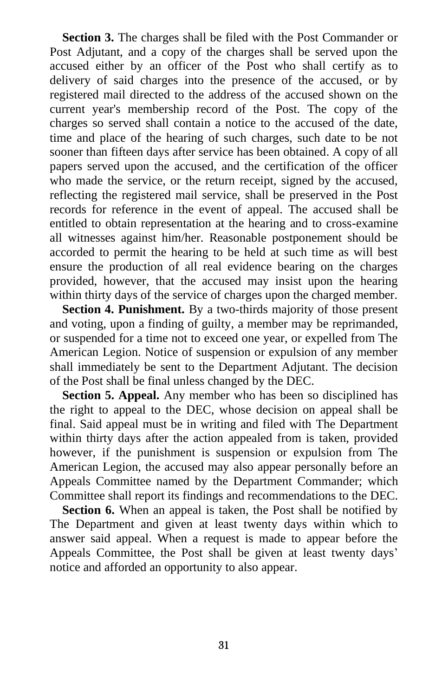**Section 3.** The charges shall be filed with the Post Commander or Post Adjutant, and a copy of the charges shall be served upon the accused either by an officer of the Post who shall certify as to delivery of said charges into the presence of the accused, or by registered mail directed to the address of the accused shown on the current year's membership record of the Post. The copy of the charges so served shall contain a notice to the accused of the date, time and place of the hearing of such charges, such date to be not sooner than fifteen days after service has been obtained. A copy of all papers served upon the accused, and the certification of the officer who made the service, or the return receipt, signed by the accused, reflecting the registered mail service, shall be preserved in the Post records for reference in the event of appeal. The accused shall be entitled to obtain representation at the hearing and to cross-examine all witnesses against him/her. Reasonable postponement should be accorded to permit the hearing to be held at such time as will best ensure the production of all real evidence bearing on the charges provided, however, that the accused may insist upon the hearing within thirty days of the service of charges upon the charged member.

**Section 4. Punishment.** By a two-thirds majority of those present and voting, upon a finding of guilty, a member may be reprimanded, or suspended for a time not to exceed one year, or expelled from The American Legion. Notice of suspension or expulsion of any member shall immediately be sent to the Department Adjutant. The decision of the Post shall be final unless changed by the DEC.

**Section 5. Appeal.** Any member who has been so disciplined has the right to appeal to the DEC, whose decision on appeal shall be final. Said appeal must be in writing and filed with The Department within thirty days after the action appealed from is taken, provided however, if the punishment is suspension or expulsion from The American Legion, the accused may also appear personally before an Appeals Committee named by the Department Commander; which Committee shall report its findings and recommendations to the DEC.

**Section 6.** When an appeal is taken, the Post shall be notified by The Department and given at least twenty days within which to answer said appeal. When a request is made to appear before the Appeals Committee, the Post shall be given at least twenty days' notice and afforded an opportunity to also appear.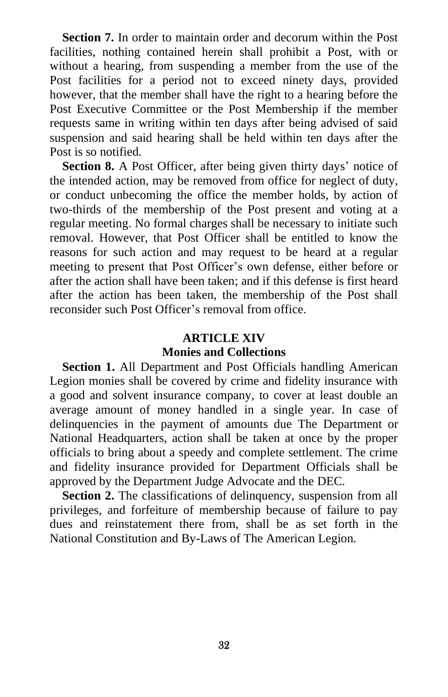**Section 7.** In order to maintain order and decorum within the Post facilities, nothing contained herein shall prohibit a Post, with or without a hearing, from suspending a member from the use of the Post facilities for a period not to exceed ninety days, provided however, that the member shall have the right to a hearing before the Post Executive Committee or the Post Membership if the member requests same in writing within ten days after being advised of said suspension and said hearing shall be held within ten days after the Post is so notified.

**Section 8.** A Post Officer, after being given thirty days' notice of the intended action, may be removed from office for neglect of duty, or conduct unbecoming the office the member holds, by action of two-thirds of the membership of the Post present and voting at a regular meeting. No formal charges shall be necessary to initiate such removal. However, that Post Officer shall be entitled to know the reasons for such action and may request to be heard at a regular meeting to present that Post Officer's own defense, either before or after the action shall have been taken; and if this defense is first heard after the action has been taken, the membership of the Post shall reconsider such Post Officer's removal from office.

# **ARTICLE XIV Monies and Collections**

**Section 1.** All Department and Post Officials handling American Legion monies shall be covered by crime and fidelity insurance with a good and solvent insurance company, to cover at least double an average amount of money handled in a single year. In case of delinquencies in the payment of amounts due The Department or National Headquarters, action shall be taken at once by the proper officials to bring about a speedy and complete settlement. The crime and fidelity insurance provided for Department Officials shall be approved by the Department Judge Advocate and the DEC.

**Section 2.** The classifications of delinquency, suspension from all privileges, and forfeiture of membership because of failure to pay dues and reinstatement there from, shall be as set forth in the National Constitution and By-Laws of The American Legion.